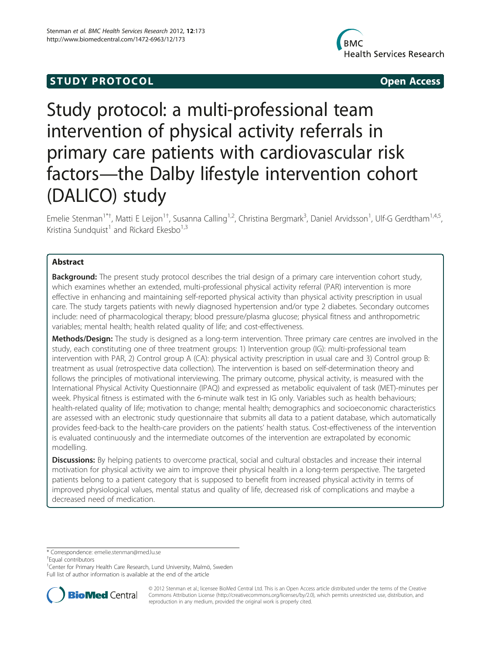## **STUDY PROTOCOL** And the set of the set of the set of the set of the set of the set of the set of the set of the set of the set of the set of the set of the set of the set of the set of the set of the set of the set of the



# Study protocol: a multi-professional team intervention of physical activity referrals in primary care patients with cardiovascular risk factors—the Dalby lifestyle intervention cohort (DALICO) study

Emelie Stenman<sup>1\*†</sup>, Matti E Leijon<sup>1†</sup>, Susanna Calling<sup>1,2</sup>, Christina Bergmark<sup>3</sup>, Daniel Arvidsson<sup>1</sup>, Ulf-G Gerdtham<sup>1,4,5</sup>, Kristina Sundquist<sup>1</sup> and Rickard Ekesbo<sup>1,3</sup>

## Abstract

Background: The present study protocol describes the trial design of a primary care intervention cohort study, which examines whether an extended, multi-professional physical activity referral (PAR) intervention is more effective in enhancing and maintaining self-reported physical activity than physical activity prescription in usual care. The study targets patients with newly diagnosed hypertension and/or type 2 diabetes. Secondary outcomes include: need of pharmacological therapy; blood pressure/plasma glucose; physical fitness and anthropometric variables; mental health; health related quality of life; and cost-effectiveness.

Methods/Design: The study is designed as a long-term intervention. Three primary care centres are involved in the study, each constituting one of three treatment groups: 1) Intervention group (IG): multi-professional team intervention with PAR, 2) Control group A (CA): physical activity prescription in usual care and 3) Control group B: treatment as usual (retrospective data collection). The intervention is based on self-determination theory and follows the principles of motivational interviewing. The primary outcome, physical activity, is measured with the International Physical Activity Questionnaire (IPAQ) and expressed as metabolic equivalent of task (MET)-minutes per week. Physical fitness is estimated with the 6-minute walk test in IG only. Variables such as health behaviours; health-related quality of life; motivation to change; mental health; demographics and socioeconomic characteristics are assessed with an electronic study questionnaire that submits all data to a patient database, which automatically provides feed-back to the health-care providers on the patients' health status. Cost-effectiveness of the intervention is evaluated continuously and the intermediate outcomes of the intervention are extrapolated by economic modelling.

Discussions: By helping patients to overcome practical, social and cultural obstacles and increase their internal motivation for physical activity we aim to improve their physical health in a long-term perspective. The targeted patients belong to a patient category that is supposed to benefit from increased physical activity in terms of improved physiological values, mental status and quality of life, decreased risk of complications and maybe a decreased need of medication.

Equal contributors

<sup>1</sup> Center for Primary Health Care Research, Lund University, Malmö, Sweden Full list of author information is available at the end of the article



© 2012 Stenman et al.; licensee BioMed Central Ltd. This is an Open Access article distributed under the terms of the Creative Commons Attribution License [\(http://creativecommons.org/licenses/by/2.0\)](http://creativecommons.org/licenses/by/2.0), which permits unrestricted use, distribution, and reproduction in any medium, provided the original work is properly cited.

<sup>\*</sup> Correspondence: [emelie.stenman@med.lu.se](mailto:emelie.stenman@med.lu.se) †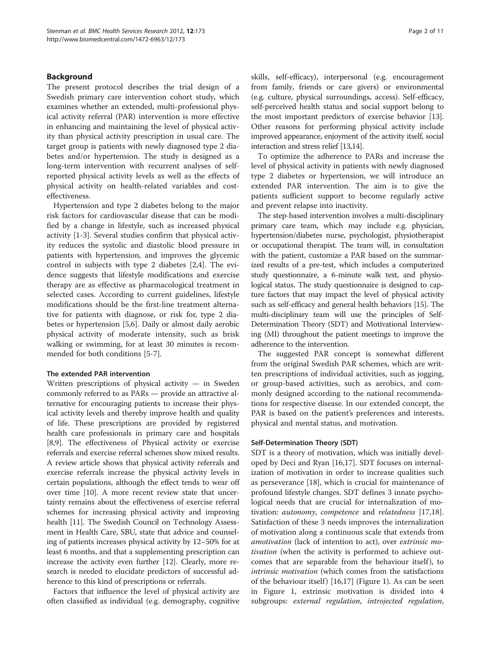## Background

The present protocol describes the trial design of a Swedish primary care intervention cohort study, which examines whether an extended, multi-professional physical activity referral (PAR) intervention is more effective in enhancing and maintaining the level of physical activity than physical activity prescription in usual care. The target group is patients with newly diagnosed type 2 diabetes and/or hypertension. The study is designed as a long-term intervention with recurrent analyses of selfreported physical activity levels as well as the effects of physical activity on health-related variables and costeffectiveness.

Hypertension and type 2 diabetes belong to the major risk factors for cardiovascular disease that can be modified by a change in lifestyle, such as increased physical activity [\[1](#page-9-0)-[3\]](#page-9-0). Several studies confirm that physical activity reduces the systolic and diastolic blood pressure in patients with hypertension, and improves the glycemic control in subjects with type 2 diabetes [\[2,4](#page-9-0)]. The evidence suggests that lifestyle modifications and exercise therapy are as effective as pharmacological treatment in selected cases. According to current guidelines, lifestyle modifications should be the first-line treatment alternative for patients with diagnose, or risk for, type 2 diabetes or hypertension [[5,6\]](#page-9-0). Daily or almost daily aerobic physical activity of moderate intensity, such as brisk walking or swimming, for at least 30 minutes is recommended for both conditions [[5-7\]](#page-9-0).

## The extended PAR intervention

Written prescriptions of physical activity — in Sweden commonly referred to as PARs — provide an attractive alternative for encouraging patients to increase their physical activity levels and thereby improve health and quality of life. These prescriptions are provided by registered health care professionals in primary care and hospitals [[8,9](#page-9-0)]. The effectiveness of Physical activity or exercise referrals and exercise referral schemes show mixed results. A review article shows that physical activity referrals and exercise referrals increase the physical activity levels in certain populations, although the effect tends to wear off over time [\[10\]](#page-9-0). A more recent review state that uncertainty remains about the effectiveness of exercise referral schemes for increasing physical activity and improving health [[11\]](#page-9-0). The Swedish Council on Technology Assessment in Health Care, SBU, state that advice and counseling of patients increases physical activity by 12–50% for at least 6 months, and that a supplementing prescription can increase the activity even further [[12](#page-9-0)]. Clearly, more research is needed to elucidate predictors of successful adherence to this kind of prescriptions or referrals.

Factors that influence the level of physical activity are often classified as individual (e.g. demography, cognitive skills, self-efficacy), interpersonal (e.g. encouragement from family, friends or care givers) or environmental (e.g. culture, physical surroundings, access). Self-efficacy, self-perceived health status and social support belong to the most important predictors of exercise behavior [[13](#page-9-0)]. Other reasons for performing physical activity include improved appearance, enjoyment of the activity itself, social interaction and stress relief [[13,14\]](#page-9-0).

To optimize the adherence to PARs and increase the level of physical activity in patients with newly diagnosed type 2 diabetes or hypertension, we will introduce an extended PAR intervention. The aim is to give the patients sufficient support to become regularly active and prevent relapse into inactivity.

The step-based intervention involves a multi-disciplinary primary care team, which may include e.g. physician, hypertension/diabetes nurse, psychologist, physiotherapist or occupational therapist. The team will, in consultation with the patient, customize a PAR based on the summarized results of a pre-test, which includes a computerized study questionnaire, a 6-minute walk test, and physiological status. The study questionnaire is designed to capture factors that may impact the level of physical activity such as self-efficacy and general health behaviors [\[15\]](#page-9-0). The multi-disciplinary team will use the principles of Self-Determination Theory (SDT) and Motivational Interviewing (MI) throughout the patient meetings to improve the adherence to the intervention.

The suggested PAR concept is somewhat different from the original Swedish PAR schemes, which are written prescriptions of individual activities, such as jogging, or group-based activities, such as aerobics, and commonly designed according to the national recommendations for respective disease. In our extended concept, the PAR is based on the patient's preferences and interests, physical and mental status, and motivation.

## Self-Determination Theory (SDT)

SDT is a theory of motivation, which was initially developed by Deci and Ryan [\[16,17\]](#page-9-0). SDT focuses on internalization of motivation in order to increase qualities such as perseverance [\[18\]](#page-9-0), which is crucial for maintenance of profound lifestyle changes. SDT defines 3 innate psychological needs that are crucial for internalization of motivation: autonomy, competence and relatedness [\[17,18](#page-9-0)]. Satisfaction of these 3 needs improves the internalization of motivation along a continuous scale that extends from amotivation (lack of intention to act), over extrinsic motivation (when the activity is performed to achieve outcomes that are separable from the behaviour itself), to intrinsic motivation (which comes from the satisfactions of the behaviour itself)  $[16,17]$  $[16,17]$  (Figure [1\)](#page-2-0). As can be seen in Figure [1,](#page-2-0) extrinsic motivation is divided into 4 subgroups: external regulation, introjected regulation,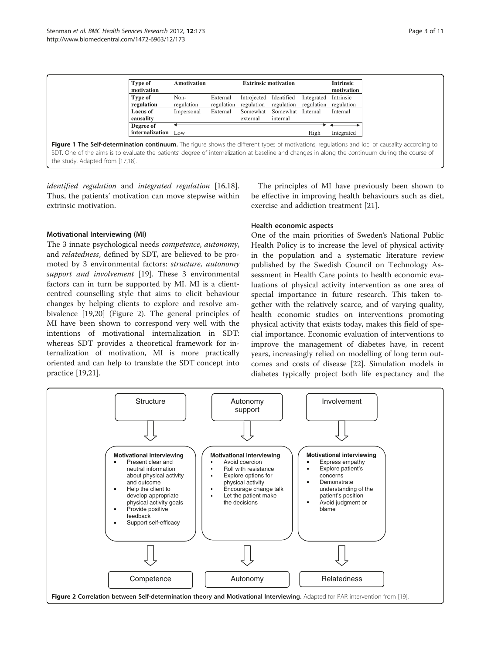<span id="page-2-0"></span>

| Type of<br>motivation            | <b>Amotivation</b> |          | <b>Extrinsic motivation</b>                                                      |                                        |            | <b>Intrinsic</b><br>motivation |
|----------------------------------|--------------------|----------|----------------------------------------------------------------------------------|----------------------------------------|------------|--------------------------------|
| Type of<br>regulation            | Non-<br>regulation | External | Introjected Identified<br>regulation regulation regulation regulation regulation |                                        | Integrated | Intrinsic                      |
| Locus of<br>causality            | Impersonal         | External | external                                                                         | Somewhat Somewhat Internal<br>internal |            | Internal                       |
| Degree of<br>internalization Low |                    |          |                                                                                  |                                        | High       | Integrated                     |

Figure 1 The Self-determination continuum. The figure shows the different types of motivations, regulations and loci of causality according to SDT. One of the aims is to evaluate the patients' degree of internalization at baseline and changes in along the continuum during the course of the study. Adapted from [[17,18\]](#page-9-0).

identified regulation and integrated regulation [\[16,18](#page-9-0)]. Thus, the patients' motivation can move stepwise within extrinsic motivation.

## Motivational Interviewing (MI)

The 3 innate psychological needs competence, autonomy, and relatedness, defined by SDT, are believed to be promoted by 3 environmental factors: structure, autonomy support and involvement [\[19\]](#page-9-0). These 3 environmental factors can in turn be supported by MI. MI is a clientcentred counselling style that aims to elicit behaviour changes by helping clients to explore and resolve ambivalence [[19](#page-9-0),[20](#page-9-0)] (Figure 2). The general principles of MI have been shown to correspond very well with the intentions of motivational internalization in SDT: whereas SDT provides a theoretical framework for internalization of motivation, MI is more practically oriented and can help to translate the SDT concept into practice [\[19,21\]](#page-9-0).

The principles of MI have previously been shown to be effective in improving health behaviours such as diet, exercise and addiction treatment [\[21\]](#page-9-0).

#### Health economic aspects

One of the main priorities of Sweden's National Public Health Policy is to increase the level of physical activity in the population and a systematic literature review published by the Swedish Council on Technology Assessment in Health Care points to health economic evaluations of physical activity intervention as one area of special importance in future research. This taken together with the relatively scarce, and of varying quality, health economic studies on interventions promoting physical activity that exists today, makes this field of special importance. Economic evaluation of interventions to improve the management of diabetes have, in recent years, increasingly relied on modelling of long term outcomes and costs of disease [\[22](#page-9-0)]. Simulation models in diabetes typically project both life expectancy and the

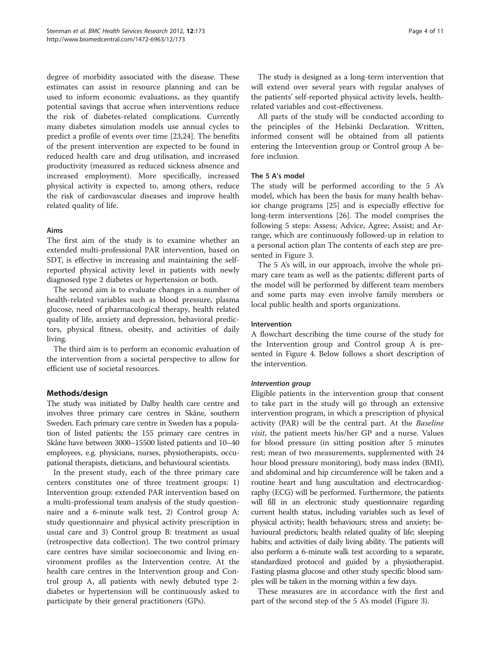degree of morbidity associated with the disease. These estimates can assist in resource planning and can be used to inform economic evaluations, as they quantify potential savings that accrue when interventions reduce the risk of diabetes-related complications. Currently many diabetes simulation models use annual cycles to predict a profile of events over time [[23](#page-9-0),[24](#page-9-0)]. The benefits of the present intervention are expected to be found in reduced health care and drug utilisation, and increased productivity (measured as reduced sickness absence and increased employment). More specifically, increased physical activity is expected to, among others, reduce the risk of cardiovascular diseases and improve health related quality of life.

## Aims

The first aim of the study is to examine whether an extended multi-professional PAR intervention, based on SDT, is effective in increasing and maintaining the selfreported physical activity level in patients with newly diagnosed type 2 diabetes or hypertension or both.

The second aim is to evaluate changes in a number of health-related variables such as blood pressure, plasma glucose, need of pharmacological therapy, health related quality of life, anxiety and depression, behavioral predictors, physical fitness, obesity, and activities of daily living.

The third aim is to perform an economic evaluation of the intervention from a societal perspective to allow for efficient use of societal resources.

## Methods/design

The study was initiated by Dalby health care centre and involves three primary care centres in Skåne, southern Sweden. Each primary care centre in Sweden has a population of listed patients; the 155 primary care centres in Skåne have between 3000–15500 listed patients and 10–40 employees, e.g. physicians, nurses, physiotherapists, occupational therapists, dieticians, and behavioural scientists.

In the present study, each of the three primary care centers constitutes one of three treatment groups: 1) Intervention group: extended PAR intervention based on a multi-professional team analysis of the study questionnaire and a 6-minute walk test, 2) Control group A: study questionnaire and physical activity prescription in usual care and 3) Control group B: treatment as usual (retrospective data collection). The two control primary care centres have similar socioeconomic and living environment profiles as the Intervention centre. At the health care centres in the Intervention group and Control group A, all patients with newly debuted type 2 diabetes or hypertension will be continuously asked to participate by their general practitioners (GPs).

The study is designed as a long-term intervention that will extend over several years with regular analyses of the patients' self-reported physical activity levels, healthrelated variables and cost-effectiveness.

All parts of the study will be conducted according to the principles of the Helsinki Declaration. Written, informed consent will be obtained from all patients entering the Intervention group or Control group A before inclusion.

## The 5 A's model

The study will be performed according to the 5 A's model, which has been the basis for many health behavior change programs [\[25](#page-10-0)] and is especially effective for long-term interventions [\[26\]](#page-10-0). The model comprises the following 5 steps: Assess; Advice, Agree; Assist; and Arrange, which are continuously followed-up in relation to a personal action plan The contents of each step are presented in Figure [3.](#page-4-0)

The 5 A's will, in our approach, involve the whole primary care team as well as the patients; different parts of the model will be performed by different team members and some parts may even involve family members or local public health and sports organizations.

## Intervention

A flowchart describing the time course of the study for the Intervention group and Control group A is presented in Figure [4](#page-5-0). Below follows a short description of the intervention.

## Intervention group

Eligible patients in the intervention group that consent to take part in the study will go through an extensive intervention program, in which a prescription of physical activity (PAR) will be the central part. At the Baseline visit, the patient meets his/her GP and a nurse. Values for blood pressure (in sitting position after 5 minutes rest; mean of two measurements, supplemented with 24 hour blood pressure monitoring), body mass index (BMI), and abdominal and hip circumference will be taken and a routine heart and lung auscultation and electrocardiography (ECG) will be performed. Furthermore, the patients will fill in an electronic study questionnaire regarding current health status, including variables such as level of physical activity; health behaviours; stress and anxiety; behavioural predictors; health related quality of life; sleeping habits; and activities of daily living ability. The patients will also perform a 6-minute walk test according to a separate, standardized protocol and guided by a physiotherapist. Fasting plasma glucose and other study specific blood samples will be taken in the morning within a few days.

These measures are in accordance with the first and part of the second step of the 5 A's model (Figure [3\)](#page-4-0).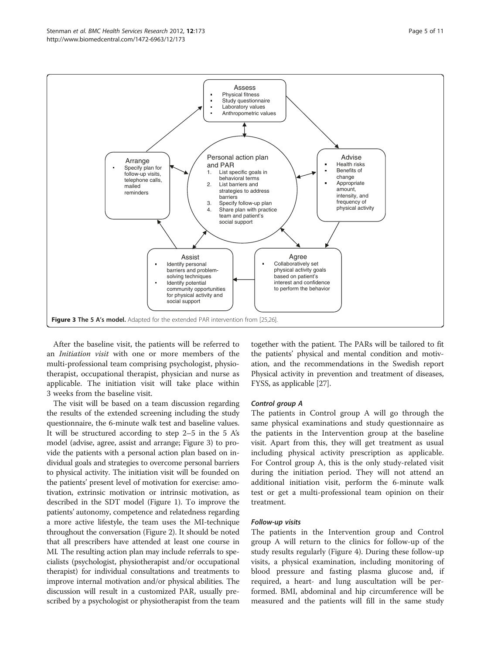<span id="page-4-0"></span>

After the baseline visit, the patients will be referred to an Initiation visit with one or more members of the multi-professional team comprising psychologist, physiotherapist, occupational therapist, physician and nurse as applicable. The initiation visit will take place within 3 weeks from the baseline visit.

The visit will be based on a team discussion regarding the results of the extended screening including the study questionnaire, the 6-minute walk test and baseline values. It will be structured according to step 2–5 in the 5 A's model (advise, agree, assist and arrange; Figure 3) to provide the patients with a personal action plan based on individual goals and strategies to overcome personal barriers to physical activity. The initiation visit will be founded on the patients' present level of motivation for exercise: amotivation, extrinsic motivation or intrinsic motivation, as described in the SDT model (Figure [1](#page-2-0)). To improve the patients' autonomy, competence and relatedness regarding a more active lifestyle, the team uses the MI-technique throughout the conversation (Figure [2](#page-2-0)). It should be noted that all prescribers have attended at least one course in MI. The resulting action plan may include referrals to specialists (psychologist, physiotherapist and/or occupational therapist) for individual consultations and treatments to improve internal motivation and/or physical abilities. The discussion will result in a customized PAR, usually prescribed by a psychologist or physiotherapist from the team

together with the patient. The PARs will be tailored to fit the patients' physical and mental condition and motivation, and the recommendations in the Swedish report Physical activity in prevention and treatment of diseases, FYSS, as applicable [\[27\]](#page-10-0).

## Control group A

The patients in Control group A will go through the same physical examinations and study questionnaire as the patients in the Intervention group at the baseline visit. Apart from this, they will get treatment as usual including physical activity prescription as applicable. For Control group A, this is the only study-related visit during the initiation period. They will not attend an additional initiation visit, perform the 6-minute walk test or get a multi-professional team opinion on their treatment.

#### Follow-up visits

The patients in the Intervention group and Control group A will return to the clinics for follow-up of the study results regularly (Figure [4](#page-5-0)). During these follow-up visits, a physical examination, including monitoring of blood pressure and fasting plasma glucose and, if required, a heart- and lung auscultation will be performed. BMI, abdominal and hip circumference will be measured and the patients will fill in the same study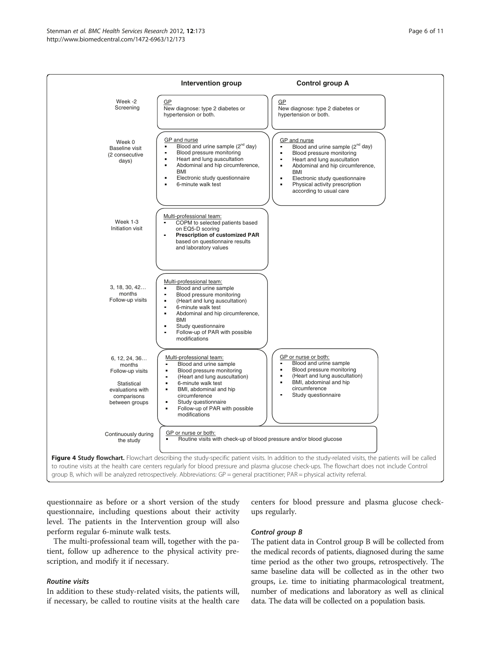<span id="page-5-0"></span>

questionnaire as before or a short version of the study questionnaire, including questions about their activity level. The patients in the Intervention group will also perform regular 6-minute walk tests.

The multi-professional team will, together with the patient, follow up adherence to the physical activity prescription, and modify it if necessary.

## Routine visits

In addition to these study-related visits, the patients will, if necessary, be called to routine visits at the health care centers for blood pressure and plasma glucose checkups regularly.

## Control group B

The patient data in Control group B will be collected from the medical records of patients, diagnosed during the same time period as the other two groups, retrospectively. The same baseline data will be collected as in the other two groups, i.e. time to initiating pharmacological treatment, number of medications and laboratory as well as clinical data. The data will be collected on a population basis.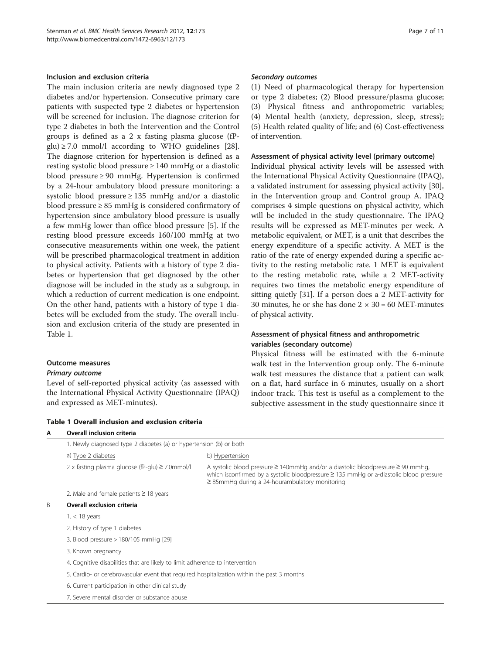#### Inclusion and exclusion criteria

The main inclusion criteria are newly diagnosed type 2 diabetes and/or hypertension. Consecutive primary care patients with suspected type 2 diabetes or hypertension will be screened for inclusion. The diagnose criterion for type 2 diabetes in both the Intervention and the Control groups is defined as a 2 x fasting plasma glucose (fP $glu$ ) ≥ 7.0 mmol/l according to WHO guidelines [\[28](#page-10-0)]. The diagnose criterion for hypertension is defined as a resting systolic blood pressure ≥ 140 mmHg or a diastolic blood pressure ≥ 90 mmHg. Hypertension is confirmed by a 24-hour ambulatory blood pressure monitoring: a systolic blood pressure  $\geq$  135 mmHg and/or a diastolic blood pressure ≥ 85 mmHg is considered confirmatory of hypertension since ambulatory blood pressure is usually a few mmHg lower than office blood pressure [[5](#page-9-0)]. If the resting blood pressure exceeds 160/100 mmHg at two consecutive measurements within one week, the patient will be prescribed pharmacological treatment in addition to physical activity. Patients with a history of type 2 diabetes or hypertension that get diagnosed by the other diagnose will be included in the study as a subgroup, in which a reduction of current medication is one endpoint. On the other hand, patients with a history of type 1 diabetes will be excluded from the study. The overall inclusion and exclusion criteria of the study are presented in Table 1.

## Outcome measures

#### Primary outcome

Level of self-reported physical activity (as assessed with the International Physical Activity Questionnaire (IPAQ) and expressed as MET-minutes).

| Table 1 Overall inclusion and exclusion criteria |  |  |  |  |  |  |
|--------------------------------------------------|--|--|--|--|--|--|
|--------------------------------------------------|--|--|--|--|--|--|

#### Secondary outcomes

(1) Need of pharmacological therapy for hypertension or type 2 diabetes; (2) Blood pressure/plasma glucose; (3) Physical fitness and anthropometric variables; (4) Mental health (anxiety, depression, sleep, stress); (5) Health related quality of life; and (6) Cost-effectiveness of intervention.

#### Assessment of physical activity level (primary outcome)

Individual physical activity levels will be assessed with the International Physical Activity Questionnaire (IPAQ), a validated instrument for assessing physical activity [\[30](#page-10-0)], in the Intervention group and Control group A. IPAQ comprises 4 simple questions on physical activity, which will be included in the study questionnaire. The IPAQ results will be expressed as MET-minutes per week. A metabolic equivalent, or MET, is a unit that describes the energy expenditure of a specific activity. A MET is the ratio of the rate of energy expended during a specific activity to the resting metabolic rate. 1 MET is equivalent to the resting metabolic rate, while a 2 MET-activity requires two times the metabolic energy expenditure of sitting quietly [[31](#page-10-0)]. If a person does a 2 MET-activity for 30 minutes, he or she has done  $2 \times 30 = 60$  MET-minutes of physical activity.

## Assessment of physical fitness and anthropometric variables (secondary outcome)

Physical fitness will be estimated with the 6-minute walk test in the Intervention group only. The 6-minute walk test measures the distance that a patient can walk on a flat, hard surface in 6 minutes, usually on a short indoor track. This test is useful as a complement to the subjective assessment in the study questionnaire since it

| Α                                                                                                                                              | Overall inclusion criteria<br>1. Newly diagnosed type 2 diabetes (a) or hypertension (b) or both |                                                                                                                                                                                                                                                   |  |  |                                              |
|------------------------------------------------------------------------------------------------------------------------------------------------|--------------------------------------------------------------------------------------------------|---------------------------------------------------------------------------------------------------------------------------------------------------------------------------------------------------------------------------------------------------|--|--|----------------------------------------------|
|                                                                                                                                                |                                                                                                  |                                                                                                                                                                                                                                                   |  |  |                                              |
|                                                                                                                                                | a) Type 2 diabetes                                                                               | b) Hypertension                                                                                                                                                                                                                                   |  |  |                                              |
|                                                                                                                                                | 2 x fasting plasma glucose (fP-glu) $\geq$ 7.0mmol/l                                             | A systolic blood pressure $\geq$ 140mmHq and/or a diastolic bloodpressure $\geq$ 90 mmHq,<br>which is confirmed by a systolic blood pressure $\geq$ 135 mmHq or a-diastolic blood pressure<br>$\geq$ 85mmHg during a 24-hourambulatory monitoring |  |  |                                              |
|                                                                                                                                                | 2. Male and female patients $\geq$ 18 years                                                      |                                                                                                                                                                                                                                                   |  |  |                                              |
| B.                                                                                                                                             | Overall exclusion criteria                                                                       |                                                                                                                                                                                                                                                   |  |  |                                              |
|                                                                                                                                                | $1 < 18$ years                                                                                   |                                                                                                                                                                                                                                                   |  |  |                                              |
|                                                                                                                                                | 2. History of type 1 diabetes                                                                    |                                                                                                                                                                                                                                                   |  |  |                                              |
|                                                                                                                                                | 3. Blood pressure > 180/105 mmHg [29]                                                            |                                                                                                                                                                                                                                                   |  |  |                                              |
|                                                                                                                                                | 3. Known pregnancy                                                                               |                                                                                                                                                                                                                                                   |  |  |                                              |
|                                                                                                                                                | 4. Cognitive disabilities that are likely to limit adherence to intervention                     |                                                                                                                                                                                                                                                   |  |  |                                              |
| 5. Cardio- or cerebrovascular event that required hospitalization within the past 3 months<br>6. Current participation in other clinical study |                                                                                                  |                                                                                                                                                                                                                                                   |  |  |                                              |
|                                                                                                                                                |                                                                                                  |                                                                                                                                                                                                                                                   |  |  | 7. Severe mental disorder or substance abuse |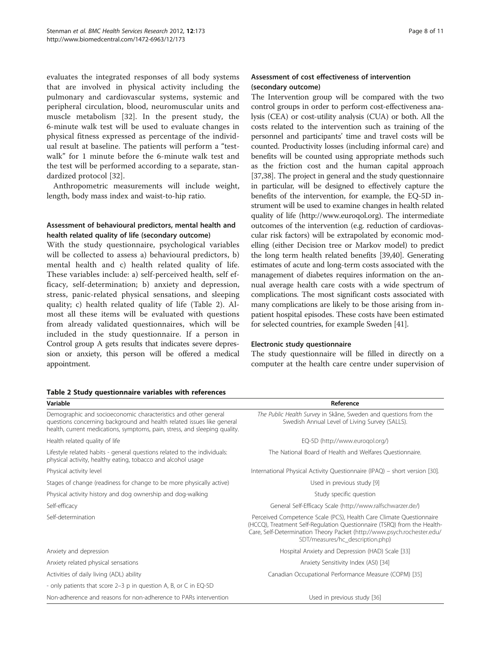<span id="page-7-0"></span>evaluates the integrated responses of all body systems that are involved in physical activity including the pulmonary and cardiovascular systems, systemic and peripheral circulation, blood, neuromuscular units and muscle metabolism [[32\]](#page-10-0). In the present study, the 6-minute walk test will be used to evaluate changes in physical fitness expressed as percentage of the individual result at baseline. The patients will perform a "testwalk" for 1 minute before the 6-minute walk test and the test will be performed according to a separate, standardized protocol [[32](#page-10-0)].

Anthropometric measurements will include weight, length, body mass index and waist-to-hip ratio.

## Assessment of behavioural predictors, mental health and health related quality of life (secondary outcome)

With the study questionnaire, psychological variables will be collected to assess a) behavioural predictors, b) mental health and c) health related quality of life. These variables include: a) self-perceived health, self efficacy, self-determination; b) anxiety and depression, stress, panic-related physical sensations, and sleeping quality; c) health related quality of life (Table 2). Almost all these items will be evaluated with questions from already validated questionnaires, which will be included in the study questionnaire. If a person in Control group A gets results that indicates severe depression or anxiety, this person will be offered a medical appointment.

## Table 2 Study questionnaire variables with references

## Assessment of cost effectiveness of intervention (secondary outcome)

The Intervention group will be compared with the two control groups in order to perform cost-effectiveness analysis (CEA) or cost-utility analysis (CUA) or both. All the costs related to the intervention such as training of the personnel and participants' time and travel costs will be counted. Productivity losses (including informal care) and benefits will be counted using appropriate methods such as the friction cost and the human capital approach [[37,38](#page-10-0)]. The project in general and the study questionnaire in particular, will be designed to effectively capture the benefits of the intervention, for example, the EQ-5D instrument will be used to examine changes in health related quality of life ([http://www.euroqol.org\)](http://www.euroqol.org). The intermediate outcomes of the intervention (e.g. reduction of cardiovascular risk factors) will be extrapolated by economic modelling (either Decision tree or Markov model) to predict the long term health related benefits [[39,40\]](#page-10-0). Generating estimates of acute and long-term costs associated with the management of diabetes requires information on the annual average health care costs with a wide spectrum of complications. The most significant costs associated with many complications are likely to be those arising from inpatient hospital episodes. These costs have been estimated for selected countries, for example Sweden [\[41\]](#page-10-0).

## Electronic study questionnaire

The study questionnaire will be filled in directly on a computer at the health care centre under supervision of

| Variable                                                                                                                                                                                                                | Reference                                                                                                                                                                                                                                                     |  |  |
|-------------------------------------------------------------------------------------------------------------------------------------------------------------------------------------------------------------------------|---------------------------------------------------------------------------------------------------------------------------------------------------------------------------------------------------------------------------------------------------------------|--|--|
| Demographic and socioeconomic characteristics and other general<br>questions concerning background and health related issues like general<br>health, current medications, symptoms, pain, stress, and sleeping quality. | The Public Health Survey in Skåne, Sweden and questions from the<br>Swedish Annual Level of Living Survey (SALLS).                                                                                                                                            |  |  |
| Health related quality of life                                                                                                                                                                                          | EQ-5D (http://www.eurogol.org/)                                                                                                                                                                                                                               |  |  |
| Lifestyle related habits - general questions related to the individuals:<br>physical activity, healthy eating, tobacco and alcohol usage                                                                                | The National Board of Health and Welfares Questionnaire.                                                                                                                                                                                                      |  |  |
| Physical activity level                                                                                                                                                                                                 | International Physical Activity Questionnaire (IPAQ) - short version [30].                                                                                                                                                                                    |  |  |
| Stages of change (readiness for change to be more physically active)                                                                                                                                                    | Used in previous study [9]                                                                                                                                                                                                                                    |  |  |
| Physical activity history and dog ownership and dog-walking                                                                                                                                                             | Study specific question                                                                                                                                                                                                                                       |  |  |
| Self-efficacy                                                                                                                                                                                                           | General Self-Efficacy Scale (http://www.ralfschwarzer.de/)                                                                                                                                                                                                    |  |  |
| Self-determination                                                                                                                                                                                                      | Perceived Competence Scale (PCS), Health Care Climate Questionnaire<br>(HCCQ), Treatment Self-Regulation Questionnaire (TSRQ) from the Health-<br>Care, Self-Determination Theory Packet (http://www.psych.rochester.edu/<br>SDT/measures/hc_description.php) |  |  |
| Anxiety and depression                                                                                                                                                                                                  | Hospital Anxiety and Depression (HAD) Scale [33]                                                                                                                                                                                                              |  |  |
| Anxiety related physical sensations                                                                                                                                                                                     | Anxiety Sensitivity Index (ASI) [34]                                                                                                                                                                                                                          |  |  |
| Activities of daily living (ADL) ability                                                                                                                                                                                | Canadian Occupational Performance Measure (COPM) [35]                                                                                                                                                                                                         |  |  |
| - only patients that score 2–3 p in question A, B, or C in EQ-5D                                                                                                                                                        |                                                                                                                                                                                                                                                               |  |  |
| Non-adherence and reasons for non-adherence to PARs intervention                                                                                                                                                        | Used in previous study [36]                                                                                                                                                                                                                                   |  |  |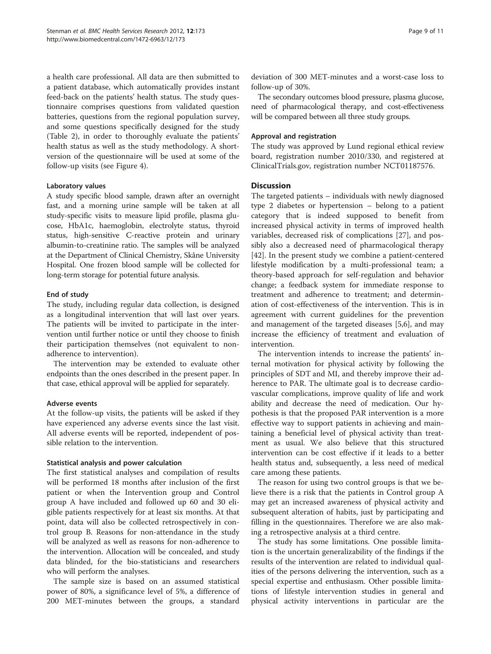a health care professional. All data are then submitted to a patient database, which automatically provides instant feed-back on the patients' health status. The study questionnaire comprises questions from validated question batteries, questions from the regional population survey, and some questions specifically designed for the study (Table [2](#page-7-0)), in order to thoroughly evaluate the patients' health status as well as the study methodology. A shortversion of the questionnaire will be used at some of the follow-up visits (see Figure [4\)](#page-5-0).

## Laboratory values

A study specific blood sample, drawn after an overnight fast, and a morning urine sample will be taken at all study-specific visits to measure lipid profile, plasma glucose, HbA1c, haemoglobin, electrolyte status, thyroid status, high-sensitive C-reactive protein and urinary albumin-to-creatinine ratio. The samples will be analyzed at the Department of Clinical Chemistry, Skåne University Hospital. One frozen blood sample will be collected for long-term storage for potential future analysis.

## End of study

The study, including regular data collection, is designed as a longitudinal intervention that will last over years. The patients will be invited to participate in the intervention until further notice or until they choose to finish their participation themselves (not equivalent to nonadherence to intervention).

The intervention may be extended to evaluate other endpoints than the ones described in the present paper. In that case, ethical approval will be applied for separately.

## Adverse events

At the follow-up visits, the patients will be asked if they have experienced any adverse events since the last visit. All adverse events will be reported, independent of possible relation to the intervention.

## Statistical analysis and power calculation

The first statistical analyses and compilation of results will be performed 18 months after inclusion of the first patient or when the Intervention group and Control group A have included and followed up 60 and 30 eligible patients respectively for at least six months. At that point, data will also be collected retrospectively in control group B. Reasons for non-attendance in the study will be analyzed as well as reasons for non-adherence to the intervention. Allocation will be concealed, and study data blinded, for the bio-statisticians and researchers who will perform the analyses.

The sample size is based on an assumed statistical power of 80%, a significance level of 5%, a difference of 200 MET-minutes between the groups, a standard

deviation of 300 MET-minutes and a worst-case loss to follow-up of 30%.

The secondary outcomes blood pressure, plasma glucose, need of pharmacological therapy, and cost-effectiveness will be compared between all three study groups.

## Approval and registration

The study was approved by Lund regional ethical review board, registration number 2010/330, and registered at ClinicalTrials.gov, registration number NCT01187576.

## **Discussion**

The targeted patients – individuals with newly diagnosed type 2 diabetes or hypertension – belong to a patient category that is indeed supposed to benefit from increased physical activity in terms of improved health variables, decreased risk of complications [\[27](#page-10-0)], and possibly also a decreased need of pharmacological therapy [[42\]](#page-10-0). In the present study we combine a patient-centered lifestyle modification by a multi-professional team; a theory-based approach for self-regulation and behavior change; a feedback system for immediate response to treatment and adherence to treatment; and determination of cost-effectiveness of the intervention. This is in agreement with current guidelines for the prevention and management of the targeted diseases [\[5](#page-9-0),[6](#page-9-0)], and may increase the efficiency of treatment and evaluation of intervention.

The intervention intends to increase the patients' internal motivation for physical activity by following the principles of SDT and MI, and thereby improve their adherence to PAR. The ultimate goal is to decrease cardiovascular complications, improve quality of life and work ability and decrease the need of medication. Our hypothesis is that the proposed PAR intervention is a more effective way to support patients in achieving and maintaining a beneficial level of physical activity than treatment as usual. We also believe that this structured intervention can be cost effective if it leads to a better health status and, subsequently, a less need of medical care among these patients.

The reason for using two control groups is that we believe there is a risk that the patients in Control group A may get an increased awareness of physical activity and subsequent alteration of habits, just by participating and filling in the questionnaires. Therefore we are also making a retrospective analysis at a third centre.

The study has some limitations. One possible limitation is the uncertain generalizability of the findings if the results of the intervention are related to individual qualities of the persons delivering the intervention, such as a special expertise and enthusiasm. Other possible limitations of lifestyle intervention studies in general and physical activity interventions in particular are the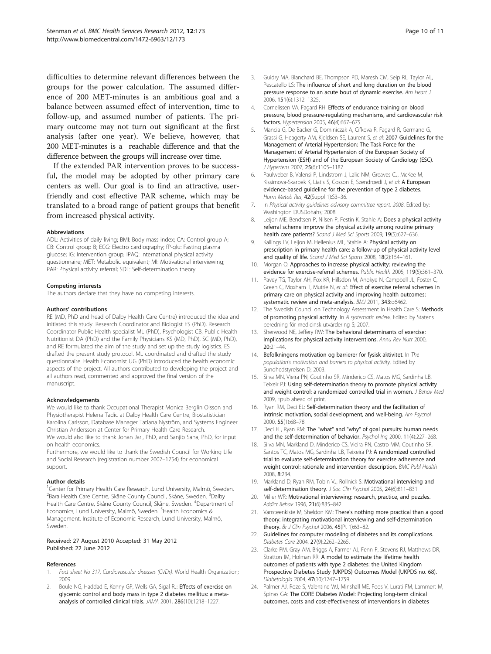<span id="page-9-0"></span>difficulties to determine relevant differences between the groups for the power calculation. The assumed difference of 200 MET-minutes is an ambitious goal and a balance between assumed effect of intervention, time to follow-up, and assumed number of patients. The primary outcome may not turn out significant at the first analysis (after one year). We believe, however, that 200 MET-minutes is a reachable difference and that the difference between the groups will increase over time.

If the extended PAR intervention proves to be successful, the model may be adopted by other primary care centers as well. Our goal is to find an attractive, userfriendly and cost effective PAR scheme, which may be translated to a broad range of patient groups that benefit from increased physical activity.

#### Abbreviations

ADL: Activities of daily living; BMI: Body mass index; CA: Control group A; CB: Control group B; ECG: Electro cardiography; fP-glu: Fasting plasma glucose; IG: Intervention group; IPAQ: International physical activity questionnaire; MET: Metabolic equivalent; MI: Motivational interviewing; PAR: Physical activity referral; SDT: Self-determination theory.

#### Competing interests

The authors declare that they have no competing interests.

#### Authors' contributions

RE (MD, PhD and head of Dalby Health Care Centre) introduced the idea and initiated this study. Research Coordinator and Biologist ES (PhD), Research Coordinator Public Health specialist ML (PhD), Psychologist CB, Public Health Nutritionist DA (PhD) and the Family Physicians KS (MD, PhD), SC (MD, PhD), and RE formulated the aim of the study and set up the study logistics. ES drafted the present study protocol. ML coordinated and drafted the study questionnaire. Health Economist UG (PhD) introduced the health economic aspects of the project. All authors contributed to developing the project and all authors read, commented and approved the final version of the manuscript.

#### Acknowledgements

We would like to thank Occupational Therapist Monica Berglin Olsson and Physiotherapist Helena Tadic at Dalby Health Care Centre, Biostatistician Karolina Carlsson, Database Manager Tatiana Nyström, and Systems Engineer Christian Andersson at Center for Primary Health Care Research. We would also like to thank Johan Jarl, PhD, and Sanjib Saha, PhD, for input on health economics.

Furthermore, we would like to thank the Swedish Council for Working Life and Social Research (registration number 2007–1754) for economical support.

#### Author details

<sup>1</sup> Center for Primary Health Care Research, Lund University, Malmö, Sweden. <sup>2</sup>Bara Health Care Centre, Skåne County Council, Skåne, Sweden. <sup>3</sup>Dalby Health Care Centre, Skåne County Council, Skåne, Sweden. <sup>4</sup> Department of Economics, Lund University, Malmö, Sweden. <sup>5</sup>Health Economics & Management, Institute of Economic Research, Lund University, Malmö, Sweden.

#### Received: 27 August 2010 Accepted: 31 May 2012 Published: 22 June 2012

## References

- 1. Fact sheet No 317, Cardiovascular diseases (CVDs). World Health Organization; 2009.
- 2. Boule NG, Haddad E, Kenny GP, Wells GA, Sigal RJ: Effects of exercise on glycemic control and body mass in type 2 diabetes mellitus: a metaanalysis of controlled clinical trials. JAMA 2001, 286(10):1218–1227.
- 3. Guidry MA, Blanchard BE, Thompson PD, Maresh CM, Seip RL, Taylor AL, Pescatello LS: The influence of short and long duration on the blood pressure response to an acute bout of dynamic exercise. Am Heart J 2006, 151(6):1312–1325.
- 4. Cornelissen VA, Fagard RH: Effects of endurance training on blood pressure, blood pressure-regulating mechanisms, and cardiovascular risk factors. Hypertension 2005, 46(4):667–675.
- 5. Mancia G, De Backer G, Dominiczak A, Cifkova R, Fagard R, Germano G, Grassi G, Heagerty AM, Kjeldsen SE, Laurent S, et al: 2007 Guidelines for the Management of Arterial Hypertension: The Task Force for the Management of Arterial Hypertension of the European Society of Hypertension (ESH) and of the European Society of Cardiology (ESC). J Hypertens 2007, 25(6):1105–1187.
- 6. Paulweber B, Valensi P, Lindstrom J, Lalic NM, Greaves CJ, McKee M, Kissimova-Skarbek K, Liatis S, Cosson E, Szendroedi J, et al: A European evidence-based guideline for the prevention of type 2 diabetes. Horm Metab Res, 42(Suppl 1):S3-36.
- 7. In Physical activity guidelines advisory committee report, 2008. Edited by: Washington DUSDohahs; 2008.
- 8. Leijon ME, Bendtsen P, Nilsen P, Festin K, Stahle A: Does a physical activity referral scheme improve the physical activity among routine primary health care patients? Scand J Med Sci Sports 2009, 19(5):627-636.
- 9. Kallings LV, Leijon M, Hellenius ML, Stahle A: Physical activity on prescription in primary health care: a follow-up of physical activity level and quality of life. Scand J Med Sci Sports 2008, 18(2):154-161.
- 10. Morgan O: Approaches to increase physical activity: reviewing the evidence for exercise-referral schemes. Public Health 2005, 119(5):361–370.
- 11. Pavey TG, Taylor AH, Fox KR, Hillsdon M, Anokye N, Campbell JL, Foster C, Green C, Moxham T, Mutrie N, et al: Effect of exercise referral schemes in primary care on physical activity and improving health outcomes: systematic review and meta-analysis. BMJ 2011, 343:d6462.
- 12. The Swedish Council on Technology Assessment in Health Care S: Methods of promoting physical activity. In A systematic review. Edited by Statens beredning för medicinsk utvärdering S; 2007.
- 13. Sherwood NE, Jeffery RW: The behavioral determinants of exercise: implications for physical activity interventions. Annu Rev Nutr 2000,  $20.21 - 44$
- 14. Befolkningens motivation og barrierer for fysisk aktivitet. In The population's motivation and barriers to physical activity. Edited by Sundhedstyrelsen D; 2003.
- 15. Silva MN, Vieira PN, Coutinho SR, Minderico CS, Matos MG, Sardinha LB, Teixeir PJ: Using self-determination theory to promote physical activity and weight control: a randomized controlled trial in women. J Behav Med 2009, Epub ahead of print.
- 16. Ryan RM, Deci EL: Self-determination theory and the facilitation of intrinsic motivation, social development, and well-being. Am Psychol 2000, 55(1):68–78.
- 17. Deci EL, Ryan RM: The "what" and "why" of goal pursuits: human needs and the self-determination of behavior. Psychol Inq 2000, 11(4):227–268.
- 18. Silva MN, Markland D, Minderico CS, Vieira PN, Castro MM, Coutinho SR, Santos TC, Matos MG, Sardinha LB, Teixeira PJ: A randomized controlled trial to evaluate self-determination theory for exercise adherence and weight control: rationale and intervention description. BMC Publ Health 2008, 8:234.
- 19. Markland D, Ryan RM, Tobin VJ, Rollnick S: Motivational intervieing and self-determination theory. J Soc Clin Psychol 2005, 24(6):811–831.
- 20. Miller WR: Motivational interviewing: research, practice, and puzzles. Addict Behav 1996, 21(6):835–842.
- 21. Vansteenkiste M, Sheldon KM: There's nothing more practical than a good theory: integrating motivational interviewing and self-determination theory. Br J Clin Psychol 2006, 45(Pt 1):63–82.
- 22. Guidelines for computer modeling of diabetes and its complications. Diabetes Care 2004, 27(9):2262–2265.
- 23. Clarke PM, Gray AM, Briggs A, Farmer AJ, Fenn P, Stevens RJ, Matthews DR, Stratton IM, Holman RR: A model to estimate the lifetime health outcomes of patients with type 2 diabetes: the United Kingdom Prospective Diabetes Study (UKPDS) Outcomes Model (UKPDS no. 68). Diabetologia 2004, 47(10):1747–1759.
- 24. Palmer AJ, Roze S, Valentine WJ, Minshall ME, Foos V, Lurati FM, Lammert M, Spinas GA: The CORE Diabetes Model: Projecting long-term clinical outcomes, costs and cost-effectiveness of interventions in diabetes